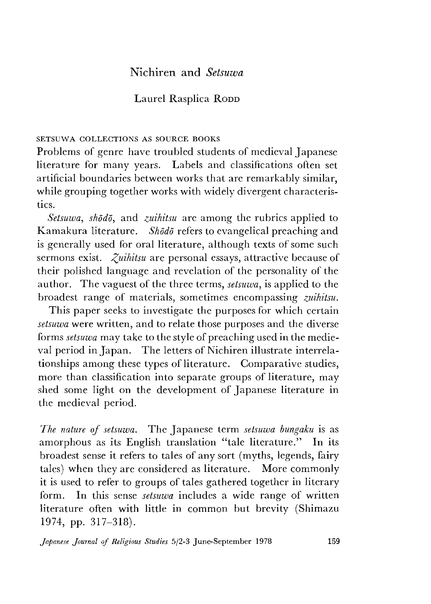# JNichiren and *Setsuwa*

## Laurel Rasplica RODD

### **SETSUWA COLLECTIONS AS SOURCE BOOKS**

Problems of genre have troubled students of medieval Japanese literature for many years. Labels and classifications often set artificial boundaries between works that are remarkably similar, while grouping together works with widely divergent characteristics.

*Setsuwa, shoddy* and *zuihitsu* are among the rubrics applied to Kamakura literature. *Shodo* refers to evangelical preaching and is generally used for oral literature, although texts of some such sermons exist. *Zuihitsu* are personal essays, attractive because of their polished language and revelation of the personality of the author. The vaguest of the three terms, *setsuwa,* is applied to the broadest range of materials, sometimes encompassing *zuihitsu.*

This paper seeks to investigate the purposes for which certain *setsuwa* were written, and to relate those purposes and the diverse forms *setsuwa* may take to the style of preaching used in the medieval period in Japan. The letters of Nichiren illustrate interrelationships among these types of literature. Comparative studies, more than classification into separate groups of literature, may shed some light on the development of Japanese literature in the medieval period.

*The nature of setsuwa.* The Japanese term *setsuwa bungaku* is as amorphous as its English translation "tale literature." In its broadest sense it refers to tales of any sort (myths, legends, fairy tales) when they are considered as literature. More commonly it is used to refer to groups of tales gathered together in literary form. In this sense *setsuwa* includes a wide range of written literature often with little in common but brevity (Shimazu 1974, pp. 317-318).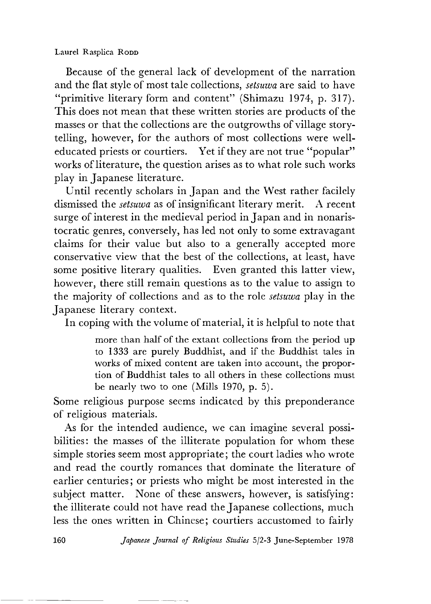#### Laurel Rasplica Ropp

Because of the general lack of development of the narration and the flat style of most tale collections, *setsuwa* are said to have "primitive literary form and content" (Shimazu 1974, p. 317). This does not mean that these written stories are products of the masses or that the collections are the outgrowths of village storytelling, however, for the authors of most collections were welleducated priests or courtiers. Yet if they are not true "popular" works of literature, the question arises as to what role such works play in Japanese literature.

Until recently scholars in Japan and the West rather facilely dismissed the *setsuwa* as of insignificant literary merit. A recent surge of interest in the medieval period in Japan and in nonaristocratic genres, conversely, has led not only to some extravagant claims for their value but also to a generally accepted more conservative view that the best of the collections, at least, have some positive literary qualities. Even granted this latter view, however, there still remain questions as to the value to assign to the majority of collections and as to the role *setsuwa* play in the Japanese literary context.

In coping with the volume of material, it is helpful to note that

more than half of the extant collections from the period up to 1333 are purely Buddhist, and if the Buddhist tales in works of mixed content are taken into account, the proportion of Buddhist tales to all others in these collections must be nearly two to one (Mills 1970,  $p. 5$ ).

Some religious purpose seems indicated by this preponderance of religious materials.

As for the intended audience, we can imagine several possibilities: the masses of the illiterate population for whom these simple stories seem most appropriate; the court ladies who wrote and read the courtly romances that dominate the literature of earlier centuries; or priests who might be most interested in the subject matter. None of these answers, however, is satisfying: the illiterate could not have read the Japanese collections, much less the ones written in Chinese; courtiers accustomed to fairly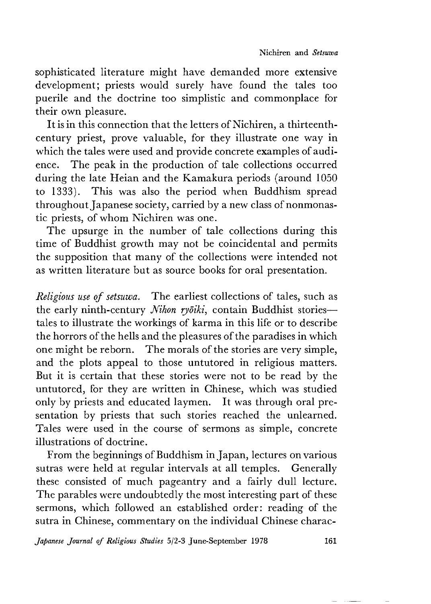sophisticated literature might have demanded more extensive development; priests would surely have found the tales too puerile and the doctrine too simplistic and commonplace for their own pleasure.

It is in this connection that the letters of Nichiren, a thirteenthcentury priest, prove valuable, for they illustrate one way in which the tales were used and provide concrete examples of audience. The peak in the production of tale collections occurred during the late Heian and the Kamakura periods (around 1050 to 1333). This was also the period when Buddhism spread throughout Japanese society, carried by a new class of nonmonastic priests, of whom Nichiren was one.

The upsurge in the number of tale collections during this time of Buddhist growth may not be coincidental and permits the supposition that many of the collections were intended not as written literature but as source books for oral presentation.

*Religious use of setsuwa.* The earliest collections of tales, such as the early ninth-century *Nihon ryōiki*, contain Buddhist stories tales to illustrate the workings of karma in this life or to describe the horrors of the hells and the pleasures of the paradises in which one might be reborn. The morals of the stories are very simple, and the plots appeal to those untutored in religious matters. But it is certain that these stories were not to be read by the untutored, for they are written in Chinese, which was studied only by priests and educated laymen. It was through oral presentation by priests that such stories reached the unlearned. Tales were used in the course of sermons as simple, concrete illustrations of doctrine.

From the beginnings of Buddhism in Japan, lectures on various sutras were held at regular intervals at all temples. Generally these consisted of much pageantry and a fairly dull lecture. The parables were undoubtedly the most interesting part of these sermons, which followed an established order: reading of the sutra in Chinese, commentary on the individual Chinese charac-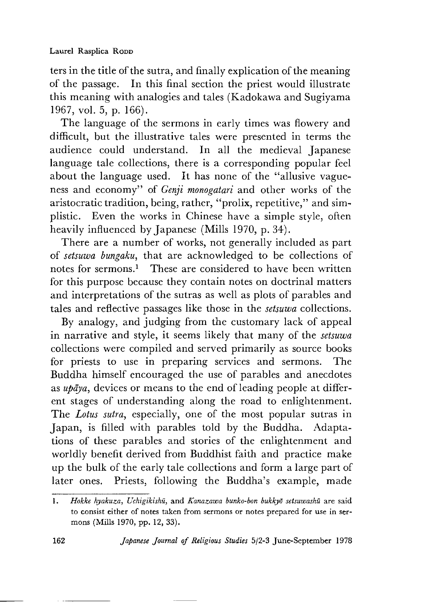ters in the title of the sutra, and finally explication of the meaning of the passage. In this final section the priest would illustrate this meaning with analogies and tales (Kadokawa and Sugiyama 1967, vol. 5, p.  $166$ ).

The language of the sermons in early times was flowery and difficult, but the illustrative tales were presented in terms the audience could understand. In all the medieval Japanese language tale collections, there is a corresponding popular feel about the language used. It has none of the ''allusive vagueness and economy" of *Genji monogatari* and other works of the aristocratic tradition, being, rather, "prolix, repetitive," and simplistic. Even the works in Chinese have a simple style, often heavily influenced by Japanese (Mills 1970, p. 34).

There are a number of works, not generally included as part of *setsuwa bungaku*, that are acknowledged to be collections of notes for sermons.<sup>1</sup> These are considered to have been written for this purpose because they contain notes on doctrinal matters and interpretations of the sutras as well as plots of parables and tales and reflective passages like those in the *setsuwa* collections.

By analogy, and judging from the customary lack of appeal in narrative and style, it seems likely that many of the *setsuwa* collections were compiled and served primarily as source books for priests to use in preparing services and sermons. The Buddha himself encouraged the use of parables and anecdotes as *updya,* devices or means to the end of leading people at different stages of understanding along the road to enlightenment. The *Lotus sutra,* especially, one of the most popular sutras in Japan, is filled with parables told by the Buddha. Adaptations of these parables and stories of the enlightenment and worldly benefit derived from Buddhist faith and practice make up the bulk of the early tale collections and form a large part of later ones. Priests, following the Buddha's example, made

<sup>1 .</sup> *Hokke hyakuza, Uchigikishu,* and *Kanazawa bunko-bon bukkyd setsuwashu* are said to consist either of notes taken from sermons or notes prepared for use in sermons (Mills 1970, pp. 12, 33).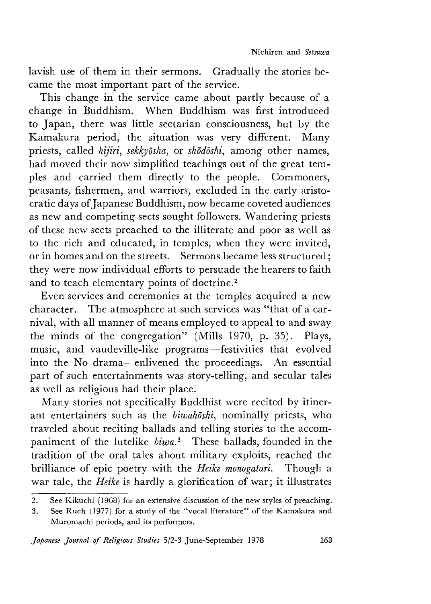lavish use of them in their sermons. Gradually the stories became the most important part of the service.

This change in the service came about partly because of a change in Buddhism. When Buddhism was first introduced to Japan, there was little sectarian consciousness, but by the Kamakura period, the situation was very different. Many priests, called *nijvri, sekkydsha,* or *shoddshi,* among other names, had moved their now simplified teachings out of the great temples and carried them directly to the people. Commoners, peasants, fishermen, and warriors, excluded in the early aristocratic days of Japanese Buddhism, now became coveted audiences as new and competing sects sought followers. Wandering priests of these new sects preached to the illiterate and poor as well as to the rich and educated, in temples, when they were invited, or in homes and on the streets. Sermons became less structured; they were now individual efforts to persuade the hearers to faith and to teach elementary points of doctrine.2

Even services and ceremonies at the temples acquired a new character. The atmosphere at such services was "that of a carnival, with all manner of means employed to appeal to and sway the minds of the congregation" (Mills 1970, p. 35). Plays, music, and vaudeville-like programs— festivities that evolved into the No drama— enlivened the proceedings. An essential part of such entertainments was story-telling, and secular tales as well as religious had their place.

Many stories not specifically Buddhist were recited by itinerant entertainers such as the *biwahdshi,* nominally priests, who traveled about reciting ballads and telling stories to the accompaniment of the lutelike *biwa?* These ballads, founded in the tradition of the oral tales about military exploits, reached the brilliance of epic poetry with the *Heike monogatari.* Though a war tale, the *Heike* is hardly a glorification of war; it illustrates

<sup>2.</sup> See Kikuchi (1968) for an extensive discussion of the new styles of preaching.

<sup>3.</sup> See Ruch (1977) for a study of the "vocal literature" of the Kamakura and Muromachi periods, and its performers.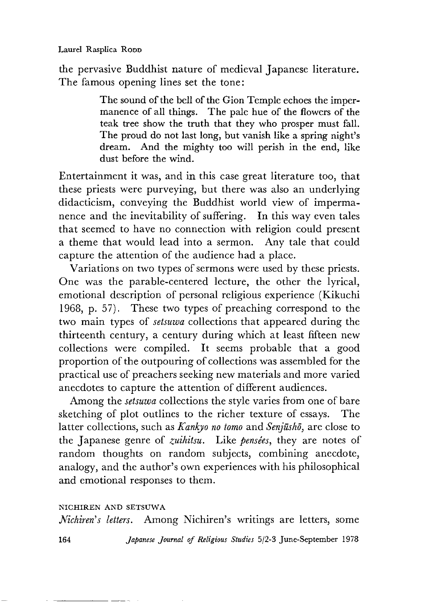the pervasive Buddhist nature of medieval Japanese literature. The famous opening lines set the tone:

> The sound of the bell of the Gion Temple echoes the impermanence of all things. The pale hue of the flowers of the teak tree show the truth that they who prosper must fall. The proud do not last long, but vanish like a spring night's dream. And the mighty too will perish in the end, like dust before the wind.

Entertainment it was, and in this case great literature too, that these priests were purveying, but there was also an underlying didacticism, conveying the Buddhist world view of impermanence and the inevitability of suffering. In this way even tales that seemed to have no connection with religion could present a theme that would lead into a sermon. Any tale that could capture the attention of the audience had a place.

Variations on two types of sermons were used by these priests. One was the parable-centered lecture, the other the lyrical, emotional description of personal religious experience (Kikuchi 1968, p. 57). These two types of preaching correspond to the two main types of *setsuwa* collections that appeared during the thirteenth century, a century during which at least fifteen new collections were compiled. It seems probable that a good proportion of the outpouring of collections was assembled for the practical use of preachers seeking new materials and more varied anecdotes to capture the attention of different audiences.

Among the *setsuwa* collections the style varies from one of bare sketching of plot outlines to the richer texture of essays. The latter collections, such as *Kankyo no tomo* and *Senjūshō*, are close to the Japanese genre of *zuihitsu.* Like *pensees,* they are notes of random thoughts on random subjects, combining anecdote, analogy, and the author's own experiences with his philosophical and emotional responses to them.

#### **NICHIREN AND SETSUWA**

*Nichiren's letters.* Among Nichiren's writings are letters, some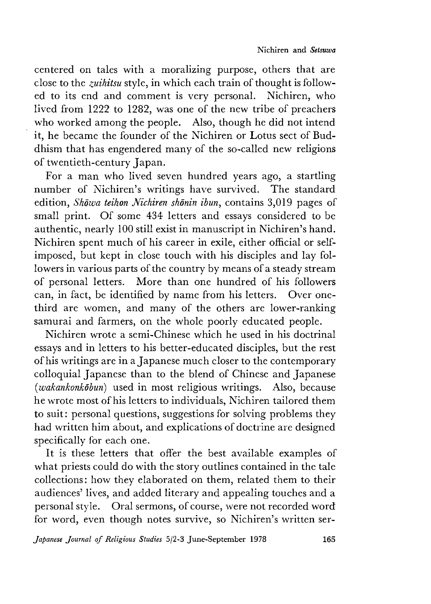centered on tales with a moralizing purpose, others that are close to the *zuihitsu* style, in which each train of thought is followed to its end and comment is very personal. Nichiren, who lived from 1222 to 1282, was one of the new tribe of preachers who worked among the people. Also, though he did not intend it, he became the founder of the Nichiren or Lotus sect of Buddhism that has engendered many of the so-called new religions of twentieth-century Japan.

For a man who lived seven hundred years ago, a startling number of Nichiren's writings have survived. The standard edition, *Skowa teihon Nichiren shonin ibun,* contains 3,019 pages of small print. Of some 434 letters and essays considered to be authentic, nearly 100 still exist in manuscript in Nichiren's hand. Nichiren spent much of his career in exile, either official or selfimposed, but kept in close touch with his disciples and lay followers in various parts of the country by means of a steady stream of personal letters. More than one hundred of his followers can, in fact, be identified by name from his letters. Over onethird are women, and many of the others are lower-ranking samurai and farmers, on the whole poorly educated people.

Nichiren wrote a semi-Chinese which he used in his doctrinal essays and in letters to his better-educated disciples, but the rest of his writings are in a Japanese much closer to the contemporary colloquial Japanese than to the blend of Chinese and Japanese *(wakankonkobun)* used in most religious writings. Also, because he wrote most of his letters to individuals, Nichiren tailored them to suit: personal questions, suggestions for solving problems they had written him about, and explications of doctrine are designed specifically for each one.

It is these letters that offer the best available examples of what priests could do with the story outlines contained in the tale collections: how they elaborated on them, related them to their audiences' lives, and added literary and appealing touches and a personal style. Oral sermons, of course, were not recorded word for word, even though notes survive, so Nichiren's written ser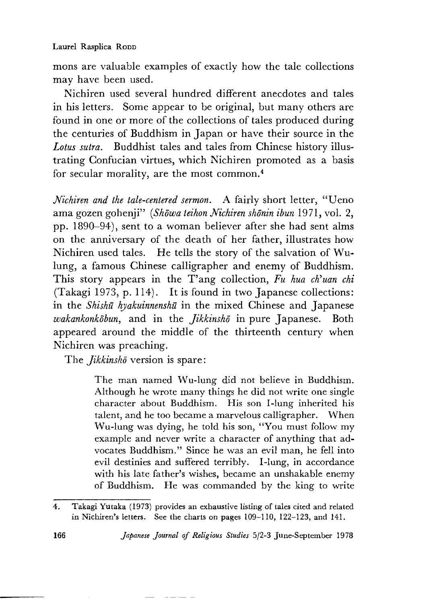mons are valuable examples of exactly how the tale collections may have been used.

Nichiren used several hundred different anecdotes and tales in his letters. Some appear to be original, but many others are found in one or more of the collections of tales produced during the centuries of Buddhism in Japan or have their source in the *Lotus sutra.* Buddhist tales and tales from Chinese history illustrating Confucian virtues, which Nichiren promoted as a basis for secular morality, are the most common. $4$ 

*Nichiren and the tale-centered sermon.* A fairly short letter, "Ueno ama gozen gohenji" *(Shōwa teihon Nichiren shōnin ibun* 1971, vol. 2, pp.  $1890-94$ ), sent to a woman believer after she had sent alms on the anniversary of the death of her father, illustrates how Nichiren used tales. He tells the story of the salvation of Wulung, a famous Chinese calligrapher and enemy of Buddhism. This story appears in the T'ang collection, *Fu hua ch'uan chi* (Takagi 1973, p. 114). It is found in two Japanese collections: in the *Shishu hyakuinnenshu* in the mixed Chinese and Japanese *wakankonkobun,* and in the *Jikkinsho* in pure Japanese. Both appeared around the middle of the thirteenth century when Nichiren was preaching.

The *Jikkinsho* version is spare:

The man named Wu-lung did not believe in Buddhism. Although he wrote many things he did not write one single character about Buddhism. His son I-lung inherited his talent, and he too became a marvelous calligrapher. When Wu-lung was dying, he told his son, "You must follow my example and never write a character of anything that advocates Buddhism." since he was an evil man, he fell into evil destinies and suffered terribly. I-lung, in accordance with his late father's wishes, became an unshakable enemy of Buddhism. He was commanded by the king to write

```
166 Japanese Journal of Religious Studies 5/2-3 June-September 1978
```
<sup>4.</sup> Takagi Yutaka (1973) provides an exhaustive listing of tales cited and related in Nichiren's letters. See the charts on pages 109-110, 122-123, and 141.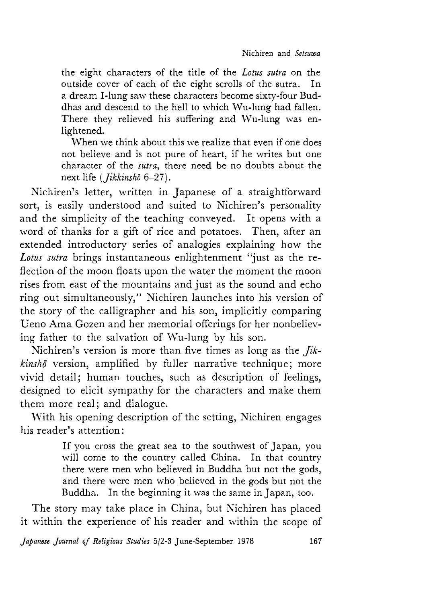the eight characters of the title of the *Lotus sutra* on the outside cover of each of the eight scrolls of the sutra. In a dream I-lung saw these characters become sixty-four Buddhas and descend to the hell to which Wu-lung had fallen. There they relieved his suffering and Wu-lung was enlightened.

When we think about this we realize that even if one does not believe and is not pure of heart, if he writes but one character of the *sutra,* there need be no doubts about the next life *{Jikkinsho* 6-27).

Nichiren's letter, written in Japanese of a straightforward sort, is easily understood and suited to Nichiren's personality and the simplicity of the teaching conveyed. It opens with a word of thanks for a gift of rice and potatoes. Then, after an extended introductory series of analogies explaining how the *Lotus sutra* brings instantaneous enlightenment "just as the reflection of the moon floats upon the water the moment the moon rises from east of the mountains and just as the sound and echo ring out simultaneously," Nichiren launches into his version of the story of the calligrapher and his son, implicitly comparing Ueno Ama Gozen and her memorial offerings for her nonbelieving father to the salvation of Wu-lung by his son.

Nichiren's version is more than five times as long as the *Jik*kinsho version, amplified by fuller narrative technique; more vivid detail; human touches, such as description of feelings, designed to elicit sympathy for the characters and make them them more real; and dialogue.

With his opening description of the setting, Nichiren engages his reader's attention:

> If you cross the great sea to the southwest of Japan, you will come to the country called China. In that country there were men who believed in Buddha but not the gods, and there were men who believed in the gods but not the Buddha. In the beginning it was the same in Japan, too.

The story may take place in China, but Nichiren has placed it within the experience of his reader and within the scope of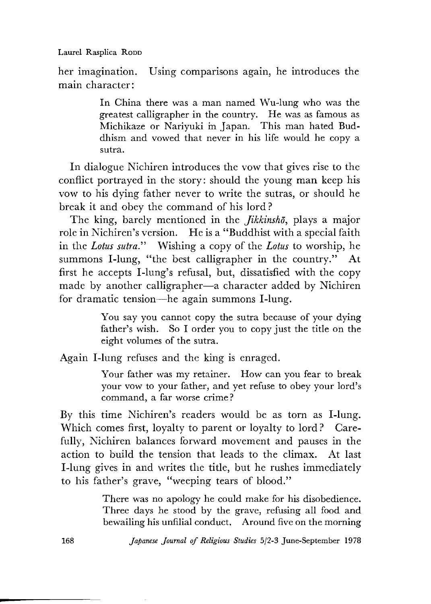Laurel Rasplica Ropp

her imagination. Using comparisons again, he introduces the main character:

> In China there was a man named Wu-lung who was the greatest calligrapher in the country. He was as famous as Michikaze or Nariyuki m Japan. This man hated Buddhism and vowed that never in his life would he copy a sutra.

In dialogue Nichiren introduces the vow that gives rise to the conflict portrayed in the story: should the young man keep his vow to his dying father never to write the sutras, or should he break it and obey the command of his lord ?

The king, barely mentioned in the *Jikkinsho*, plays a major role in Nichiren's version. He is a "Buddhist with a special faith in the *Lotus sutra."* Wishing a copy of the *Lotus* to worship, he summons I-lung, "the best calligrapher in the country." At first he accepts I-lung's refusal, but, dissatisfied with the copy made by another calligrapher—a character added by Nichiren for dramatic tension— he again summons I-lung.

> You say you cannot copy the sutra because of your dying father's wish. So I order you to copy just the title on the eight volumes of the sutra.

Again I-lung refuses and the king is enraged.

Your father was my retainer. How can you fear to break your vow to your father, and yet refuse to obey your lord's command, a far worse crime ?

By this time Nichiren's readers would be as torn as I-lung. Which comes first, loyalty to parent or loyalty to lord? Carefully, Nichiren balances forward movement and pauses in the action to build the tension that leads to the climax. At last I-lung gives in and writes the title, but he rushes immediately to his father's grave, "weeping tears of blood."

> There was no apology he could make for his disobedience. Three days he stood by the grave, refusing all food and bewailing his unfilial conduct. Around five on the morning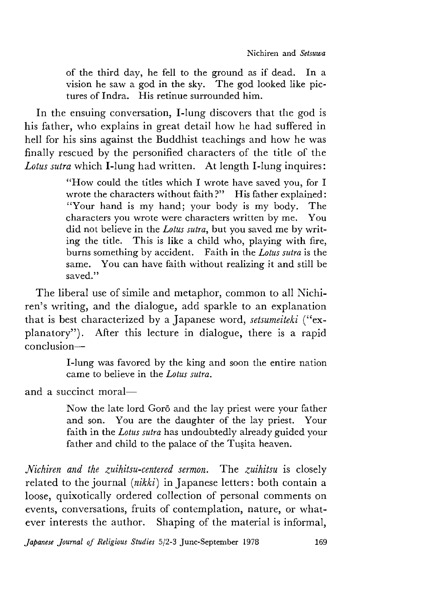of the third day, he fell to the ground as if dead. In a vision he saw a god in the sky. The god looked like pictures of Indra. His retinue surrounded him.

In the ensuing conversation, I-lung discovers that the god is his father, who explains in great detail how he had suffered in hell for his sins against the Buddhist teachings and how he was finally rescued by the personified characters of the title of the *Lotus sutra* which I-lung had written. At length I-lung inquires

> "How could the titles which I wrote have saved you, for I wrote the characters without faith?" His father explained: "Your hand is my hand; your body is my body. The characters you wrote were characters written by me. You did not believe in the *Lotus sutra,* but you saved me by writing the title. This is like a child who, playing with fire, burns something by accident. Faith in the *Lotus sutra* is the same. You can have faith without realizing it and still be saved."

The liberal use of simile and metaphor, common to all Nichiren's writing, and the dialogue, add sparkle to an explanation that is best characterized by a Japanese word, *setsumeiteki* ("explanatory"). After this lecture in dialogue, there is a rapid conclusion—

> I-lung was favored by the king and soon the entire nation came to believe in the *Lotus sutra.*

and a succinct moral—

Now the late lord Gorō and the lay priest were your father and son. You are the daughter of the lay priest. Your faith in the *Lotus sutra* has undoubtedly already guided your father and child to the palace of the Tusita heaven.

*Nichiren and the zuihitsu-centered sermon.* The *zuihitsu* is closely related to the journal *[nikki)* in Japanese letters: both contain a loose, quixotically ordered collection of personal comments on events, conversations, fruits of contemplation, nature, or whatever interests the author. Shaping of the material is informal,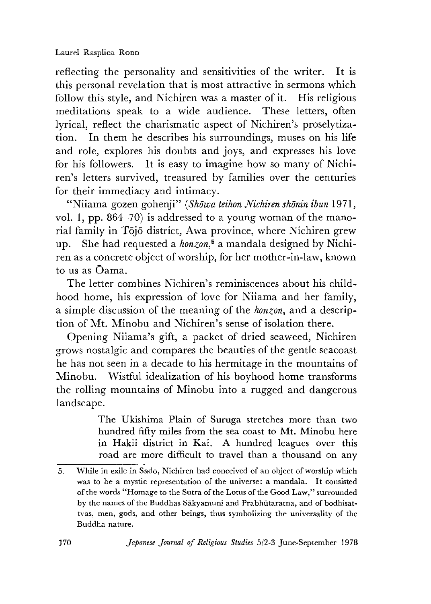reflecting the personality and sensitivities of the writer. It is this personal revelation that is most attractive in sermons which follow this style, and Nichiren was a master of it. His religious meditations speak to a wide audience. These letters, often lyrical, reflect the charismatic aspect of Nichiren's proselytization. In them he describes his surroundings, muses on his life and role, explores his doubts and joys, and expresses his love for his followers. It is easy to imagine how so many of Nichiren's letters survived, treasured by families over the centuries for their immediacy and intimacy.

"Niiama gozen gohenji" *{Showa teihon Nichiren shonin ibun* 1971, vol. 1, pp. 864–70) is addressed to a young woman of the manorial family in Tojo district, Awa province, where Nichiren grew up. She had requested a *honzon*<sup>5</sup> a mandala designed by Nichiren as a concrete object of worship, for her mother-in-law, known to us as Oama.

The letter combines Nichiren's reminiscences about his childhood home, his expression of love for Niiama and her family, a simple discussion of the meaning of the *honzon*, and a description of Mt. Minobu and Nichiren's sense of isolation there.

Opening Niiama's gift, a packet of dried seaweed, Nichiren grows nostalgic and compares the beauties of the gentle seacoast he has not seen in a decade to his hermitage in the mountains of Minobu. Wistful idealization of his boyhood home transforms the rolling mountains of Minobu into a rugged and dangerous landscape.

> The Ukishima Plain of Suruga stretches more than two hundred fifty miles from the sea coast to Mt. Minobu here in Hakii district in Kai. A hundred leagues over this road are more difficult to travel than a thousand on any

<sup>5.</sup> While in exile in Sado, Nichiren had conceived of an object of worship which was to be a mystic representation of the universe: a mandala. It consisted of the words " Homage to the Sutra of the Lotus of the Good Law," surrounded by the names of the Buddhas Sakyamuni and Prabhutaratna, and of bodhisattvas, men, gods, and other beings, thus symbolizing the universality of the Buddha nature.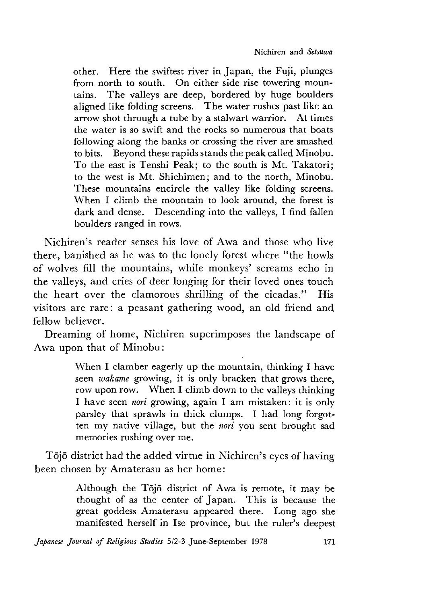other. Here the swiftest river in Japan, the Fuji, plunges from north to south. On either side rise towering mountains. The valleys are deep, bordered by huge boulders aligned like folding screens. The water rushes past like an arrow shot through a tube by a stalwart warrior. At times the water is so swift and the rocks so numerous that boats following along the banks or crossing the river are smashed to bits. Beyond these rapids stands the peak called Minobu. To the east is Tenshi Peak; to the south is Mt. Takatori; to the west is Mt. Shichimen; and to the north, Minobu. These mountains encircle the valley like folding screens. When I climb the mountain to look around, the forest is dark and dense. Descending into the valleys, I find fallen boulders ranged in rows.

Nichiren's reader senses his love of Awa and those who live there, banished as he was to the lonely forest where "the howls of wolves fill the mountains, while monkeys' screams echo in the valleys, and cries of deer longing for their loved ones touch the heart over the clamorous shrilling of the cicadas." His visitors are rare: a peasant gathering wood, an old friend and fellow believer.

Dreaming of home, Nichiren superimposes the landscape of Awa upon that of Minobu:

> When I clamber eagerly up the mountain, thinking I have seen *wakame* growing, it is only bracken that grows there, row upon row. When I climb down to the valleys thinking I have seen *nori* growing, again I am mistaken: it is only parsley that sprawls in thick clumps. I had long forgotten my native village, but the *nori* you sent brought sad memories rushing over me.

Tojo district had the added virtue in Nichiren's eyes of having been chosen by Amaterasu as her home:

> Although the Tojo district of Awa is remote, it may be thought of as the center of Japan. This is because the great goddess Amaterasu appeared there. Long ago she manifested herself in Ise province, but the ruler's deepest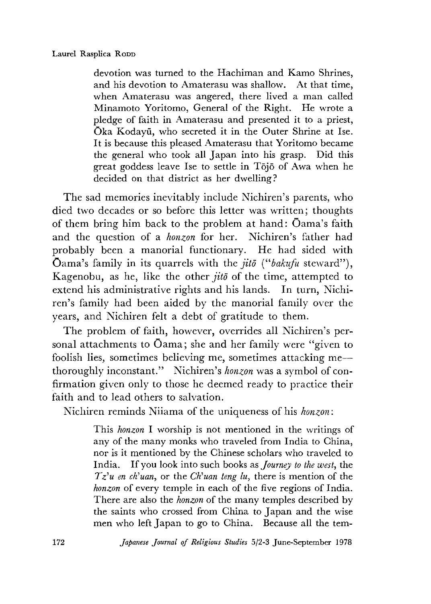devotion was turned to the Hachiman and Kamo Shrines, and his devotion to Amaterasu was shallow. At that time, when Amaterasu was angered, there lived a man called Minamoto Yoritomo, General of the Right. He wrote a pledge of faith in Amaterasu and presented it to a priest, Oka Kodayu, who secreted it in the Outer Shrine at Ise. It is because this pleased Amaterasu that Yoritomo became the general who took all Japan into his grasp. Did this great goddess leave Ise to settle in Tojo of Awa when he decided on that district as her dwelling?

The sad memories inevitably include Nichiren's parents, who died two decades or so before this letter was written; thoughts of them bring him back to the problem at hand: Oama's faith and the question of a *honzon* for her. Nichiren's father had probably been a manorial functionary. He had sided with Oama's family in its quarrels with the *jitō* ("bakufu steward"), Kagenobu, as he, like the other *jito* of the time, attempted to extend his administrative rights and his lands. In turn, Nichiren's family had been aided by the manorial family over the years, and Nichiren felt a debt of gratitude to them.

The problem of faith, however, overrides all Nichiren's personal attachments to Oama; she and her family were "given to foolish lies, sometimes believing me, sometimes attacking me thoroughly inconstant." Nichiren's *honzon* was a symbol of confirmation given only to those he deemed ready to practice their faith and to lead others to salvation.

Nichiren reminds Niiama of the uniqueness of his *honzon*:

This *honzon* I worship is not mentioned in the writings of any of the many monks who traveled from India to China, nor is it mentioned by the Chinese scholars who traveled to India. If you look into such books as *Journey to the west,* the  $Tz<sup>'</sup>u$  *en ch*<sup>2</sup>*uan*, or the *Ch*<sup>2</sup>*uan teng lu*, there is mention of the *honzon* of every temple in each of the five regions of India. There are also the *honzon* of the many temples described by the saints who crossed from China to Japan and the wise men who left Japan to go to China. Because all the tem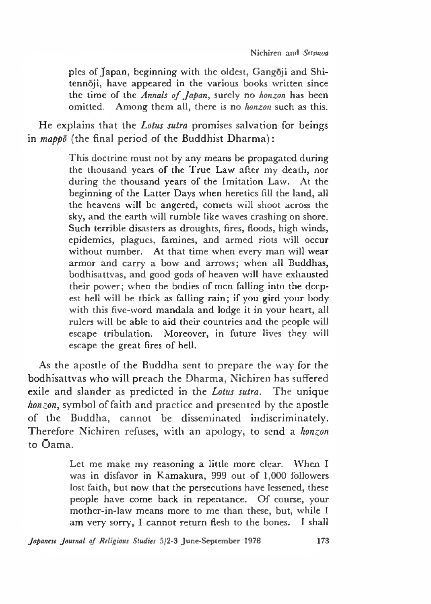pies of Japan, beginning with the oldest, Gangoji and Shitennoji, have appeared in the various books written since the time of the *Annals of Japan*, surely no *honzon* has been omitted. Among them all, there is no *honzon* such as this.

He explains that the *Lotus sutra* promises salvation for beings in *mappo* (the final period of the Buddhist Dharma):

> This doctrine must not by any means be propagated during the thousand years of the True Law after my death, nor during the thousand years of the Imitation Law. At the beginning of the Latter Days when heretics fill the land, all the heavens will be angered, comets will shoot across the sky, and the earth will rumble like waves crashing on shore. Such terrible disasters as droughts, fires, floods, high winds, epidemics, plagues, famines, and armed riots will occur without number. At that time when every man will wear armor and carry a bow and arrows; when all Buddhas, bodhisattvas, and good gods of heaven will have exhausted their power; when the bodies of men falling into the deepest hell will be thick as falling rain; if you gird your body with this five-word mandala and lodge it in your heart, all rulers will be able to aid their countries and the people will escape tribulation. Moreover, in future lives they will escape the great fires of hell.

As the apostle of the Buddha sent to prepare the way for the bodhisattvas who will preach the Dharma, Nichiren has suffered exile and slander as predicted in the *Lotus sutra.* The unique *honzon,* symbol of faith and practice and presented by the apostle of the Buddha, cannot be disseminated indiscriminately. Therefore Nichiren refuses, with an apology, to send a *honzon* to Oama.

> Let me make my reasoning a little more clear. When I was in disfavor in Kamakura, 999 out of 1,000 followers lost faith, but now that the persecutions have lessened, these people have come back in repentance. Of course, your mothcr-in-law means more to me than these, but, while I am very sorry, I cannot return flesh to the bones. I shall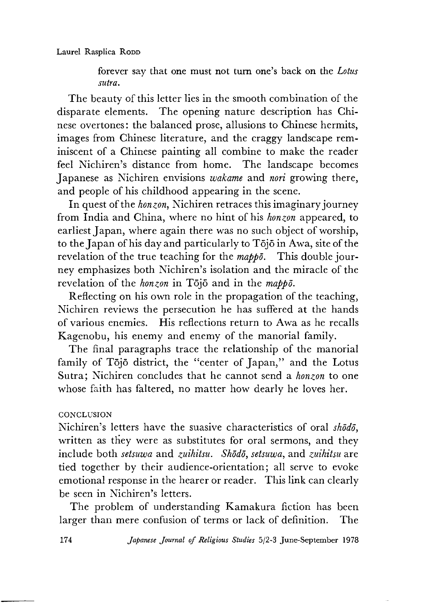forever say that one must not turn one's back on the *Lotus sutra.*

The beauty of this letter lies in the smooth combination of the disparate elements. The opening nature description has Chinese overtones: the balanced prose, allusions to Chinese hermits, images from Chinese literature, and the craggy landscape reminiscent of a Chinese painting all combine to make the reader feel Nichiren's distance from home. The landscape becomes Japanese as Nichiren envisions *wakame* and *nori* growing there, and people of his childhood appearing in the scene.

In quest of the *honzon,* Nichiren retraces this imaginary journey from India and China, where no hint of his *honzon* appeared, to earliest Japan, where again there was no such object of worship, to the Japan of his day and particularly to Tojo in Awa, site of the revelation of the true teaching for the *mappo.* This double journey emphasizes both Nichiren's isolation and the miracle of the revelation of the *honzon* in Tōjō and in the *mappo*.

Reflecting on his own role in the propagation of the teaching, Nichiren reviews the persecution he has suffered at the hands of various enemies. His reflections return to Awa as he recalls Kagenobu, his enemy and enemy of the manorial family.

The final paragraphs trace the relationship of the manorial family of Tōjō district, the "center of Japan," and the Lotus Sutra; Nichiren concludes that he cannot send a *honzon* to one whose faith has faltered, no matter how dearly he loves her.

## **CONCLUSION**

Nichiren's letters have the suasive characteristics of oral *shodo,* written as they were as substitutes for oral sermons, and they include both *setsuwa* and *zuihitsu. Shddd, setsuwa* and *zuihitsu* are tied together by their audience-orientation; all serve to evoke emotional response in the hearer or reader. This link can clearly be seen in Nichiren's letters.

The problem of understanding Kamakura fiction has been larger than mere confusion of terms or lack of definition. The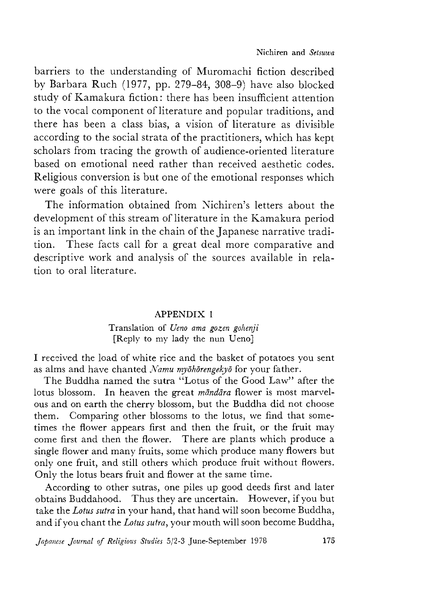barriers to the understanding of Muromachi fiction described by Barbara Ruch (1977 pp. 279-84 308-9) have also blocked study of Kamakura fiction: there has been insufficient attention to the vocal component of literature and popular traditions, and there has been a class bias, a vision of literature as divisible according to the social strata of the practitioners, which has kept scholars from tracing the growth of audience-oriented literature based on emotional need rather than received aesthetic codes. Religious conversion is but one of the emotional responses which were goals of this literature.

The information obtained from Nichiren's letters about the development of this stream of literature in the Kamakura period is an important link in the chain of the Japanese narrative tradition. These facts call for a great deal more comparative and descriptive work and analysis of the sources available in relation to oral literature.

#### APPENDIX 1

#### Translation of *Ueno ama gozen gohenji* [Reply to my lady the nun Ueno]

I received the load of white rice and the basket of potatoes you sent as alms and have chanted *Namu mybhbrengekyo* for your father.

The Buddha named the sutra "Lotus of the Good Law" after the lotus blossom. In heaven the great *mandara* flower is most marvelous and on earth the cherry blossom, but the Buddha did not choose them. Comparing other blossoms to the lotus, we find that sometimes the flower appears first and then the fruit, or the fruit may come first and then the flower. There are plants which produce a single flower and many fruits, some which produce many flowers but only one fruit, and still others which produce fruit without flowers. Only the lotus bears fruit and flower at the same time.

According to other sutras, one piles up good deeds first and later obtains Buddahood. Thus they are uncertain. However, if you but take the *Lotus sutra* in your hand, that hand will soon become Buddha, and if you chant the *Lotus sutra*, your mouth will soon become Buddha,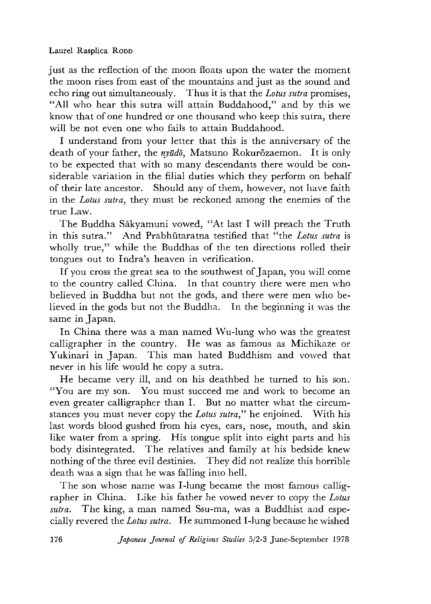just as the reflection of the moon floats upon the water the moment the moon rises from east of the mountains and just as the sound and echo ring out simultaneously. Thus it is that the *Lotus sutra* promises, "All who hear this sutra will attain Buddahood," and by this we know that of one hundred or one thousand who keep this sutra, there will be not even one who fails to attain Buddahood.

I understand from your letter that this is the anniversary of the death of your father, the *nyudd,* Matsuno Rokurozaemon. It is only to be expected that with so many descendants there would be considerable variation in the filial duties which they perform on behalf of their late ancestor. Should any of them, however, not have faith in the *Lotus sutra,* they must be reckoned among the enemies of the true Law.

The Buddha Sakyamuni vowed, "At last I will preach the Truth in this sutra." And Prabhutaratna testified that "the *Lotus sutra* is wholly true," while the Buddhas of the ten directions rolled their tongues out to Indra's heaven in verification.

If you cross the great sea to the southwest of Japan, you will come to the country called China. In that country there were men who believed in Buddha but not the gods, and there were men who believed in the gods but not the Buddha. In the beginning it was the same in Japan.

In China there was a man named Wu-lung who was the greatest calligrapher in the country. He was as famous as Michikaze or Yukinari in Japan. This man hated Buddhism and vowed that never in his life would he copy a sutra.

He became very ill, and on his deathbed he turned to his son. "You are my son. You must succeed me and work to become an even greater calligrapher than I. But no matter what the circumstances you must never copy the *Lotus sutra,"* he enjoined. With his last words blood gushed from his eyes, ears, nose, mouth, and skin like water from a spring. His tongue split into eight parts and his body disintegrated. The relatives and family at his bedside knew nothing of the three evil destinies. They did not realize this horrible death was a sign that he was falling into hell.

The son whose name was I-lung became the most famous calligrapher in China. Like his father he vowed never to copy the *Lotus sutra.* The king, a man named Ssu-ma, was a Buddhist and especially revered the *Lotus sutra.* He summoned I-lung because he wished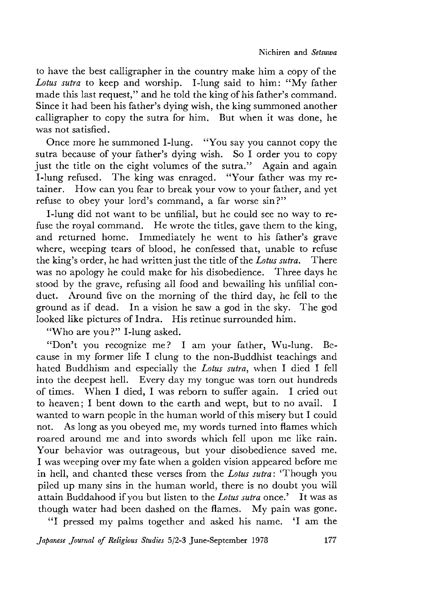to have the best calligrapher in the country make him a copy of the *Lotus sutra* to keep and worship. I-lung said to him: "My father made this last request," and he told the king of his father's command. Since it had been his father's dying wish, the king summoned another calligrapher to copy the sutra for him. But when it was done, he was not satisfied.

Once more he summoned I-lung. "You say you cannot copy the sutra because of your father's dying wish. So I order you to copy just the title on the eight volumes of the sutra." Again and again I-lung refused. The king was enraged. "Your father was my retainer. How can you fear to break your vow to your father, and yet refuse to obey your lord's command, a far worse sin?"

I-lung did not want to be unfilial, but he could see no way to refuse the royal command. He wrote the titles, gave them to the king, and returned home. Immediately he went to his father's grave where, weeping tears of blood, he confessed that, unable to refuse the king's order, he had written just the title of the *Lotus sutra•* There was no apology he could make for his disobedience. Three days he stood by the grave, refusing all food and bewailing his unfilial conduct. Around five on the morning of the third day, he fell to the ground as if dead. In a vision he saw a god in the sky. The god looked like pictures of Indra. His retinue surrounded him.

"Who are you?" I-lung asked.

"Don't you recognize me? I am your father, Wu-lung. Because in my former life I clung to the non-Buddhist teachings and hated Buddhism and especially the *Lotus sutra,* when I died I fell into the deepest hell. Every day my tongue was torn out hundreds of times. When I died, I was reborn to suffer again. I cried out to heaven; I bent down to the earth and wept, but to no avail. I wanted to warn people in the human world of this misery but I could not. As long as you obeyed me, my words turned into flames which roared around me and into swords which fell upon me like rain. Your behavior was outrageous, but your disobedience saved me. I was weeping over my fate when a golden vision appeared before me in hell, and chanted these verses from the *Lotus sutra*: 'Though you piled up many sins in the human world, there is no doubt you will attain Buddahood if you but listen to the *Lotus sutra* once.' It was as though water had been dashed on the flames. My pain was gone.

"I pressed my palms together and asked his name. CI am the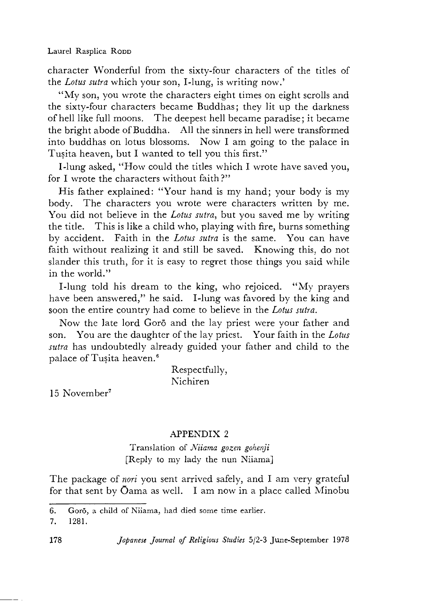character Wonderful from the sixty-four characters of the titles of the *Lotus sutra* which your son, I-lung, is writing now.'

"My son, you wrote the characters eight times on eight scrolls and the sixty-four characters became Buddhas; they lit up the darkness of hell like full moons. The deepest hell became paradise; it became the bright abode of Buddha. All the sinners in hell were transformed into buddhas on lotus blossoms. Now I am going to the palace in Tusita heaven, but I wanted to tell you this first."

I-lung asked, "How could the titles which I wrote have saved you, for I wrote the characters without faith?"

His father explained: "Your hand is my hand; your body is my body. The characters you wrote were characters written by me. You did not believe in the *Lotus sutra,* but you saved me by writing the title. This is like a child who, playing with fire, burns something by accident. Faith in the *Lotus sutra* is the same. You can have faith without realizing it and still be saved. Knowing this, do not slander this truth, for it is easy to regret those things you said while in the world."

I-lung told his dream to the king, who rejoiced. "My prayers have been answered," he said. I-lung was favored by the king and soon the entire country had come to believe in the *Lotus sutra.*

Now the late lord Goro and the lay priest were your father and son. You are the daughter of the lay priest. Your faith in the *Lotus sutra* has undoubtedly already guided your father and child to the palace of Tusita heaven.6

> Respectfully, Nichiren

15 November7

## APPENDIX 2

Translation of *Niiama gozen gohenji* [Reply to my lady the nun Niiama]

The package of *nori* you sent arrived safely, and I am very grateful for that sent by  $\bar{O}$ ama as well. I am now in a place called Minobu

<sup>6.</sup> Goro, a child of Niiama, had died some time earlier.

<sup>7.1281.</sup>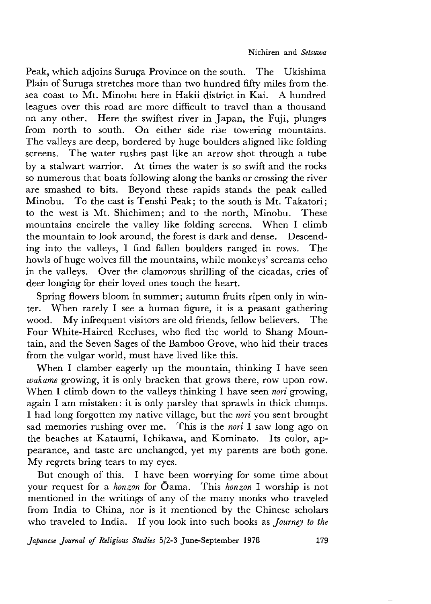Peak, which adjoins Suruga Province on the south. The Ukishima Plain of Suruga stretches more than two hundred fifty miles from the sea coast to Mt. Minobu here in Hakii district in Kai. A hundred leagues over this road are more difficult to travel than a thousand on any other. Here the swiftest river in Japan, the Fuji, plunges from north to south. On either side rise towering mountains. The valleys are deep, bordered by huge boulders aligned like folding screens. The water rushes past like an arrow shot through a tube by a stalwart warrior. At times the water is so swift and the rocks so numerous that boats following along the banks or crossing the river are smashed to bits. Beyond these rapids stands the peak called Minobu. To the east is Tenshi Peak; to the south is Mt. Takatori; to the west is Mt. Shichimen; and to the north, Minobu. These mountains encircle the valley like folding screens. When I climb the mountain to look around, the forest is dark and dense. Descending into the valleys,I find fallen boulders ranged in rows. The howls of huge wolves fill the mountains, while monkeys' screams echo in the valleys. Over the clamorous shrilling of the cicadas, cries of deer longing for their loved ones touch the heart.

Spring flowers bloom in summer; autumn fruits ripen only in winter. When rarely I see a human figure, it is a peasant gathering wood. My infrequent visitors are old friends, fellow believers. The Four White-Haired Recluses, who fled the world to Shang Mountain, and the Seven Sages of the Bamboo Grove, who hid their traces from the vulgar world, must have lived like this.

When I clamber eagerly up the mountain, thinking I have seen *wakame* growing, it is only bracken that grows there, row upon row. When I climb down to the valleys thinking I have seen *nori* growing, again I am mistaken: it is only parsley that sprawls in thick clumps. I had long forgotten my native village, but the *nori* you sent brought sad memories rushing over me. This is the *nori* I saw long ago on the beaches at Kataumi, Ichikawa, and Kominato. Its color, appearance, and taste are unchanged, yet my parents are both gone. My regrets bring tears to my eyes.

But enough of this. I have been worrying for some time about your request for a *honzon* for Oama. This *honzon* I worship is not mentioned in the writings of any of the many monks who traveled from India to China, nor is it mentioned by the Chinese scholars who traveled to India. If you look into such books as *Journey to the*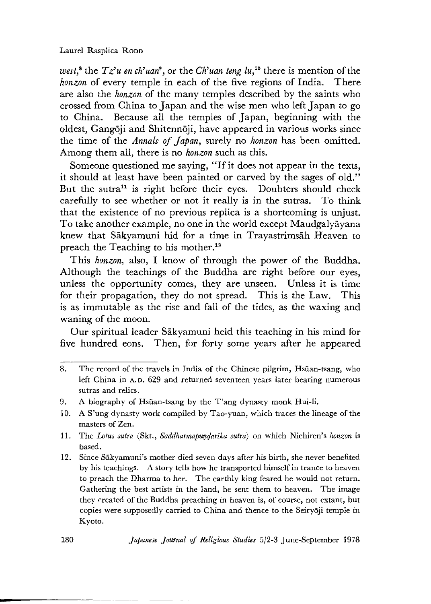#### Laurel Rasplica Roop

*west,<sup>8</sup>* the  $Tz'u$  en ch'uan<sup>9</sup>, or the *Ch'uan teng lu*,<sup>10</sup> there is mention of the *honzon* of every temple in each of the five regions of India. There are also the *honzon* of the many temples described by the saints who crossed from China to Japan and the wise men who left Japan to go to China. Because all the temples of Japan, beginning with the oldest, Gangoji and Shitennoji, have appeared in various works since the time of the *Annals of Japan*, surely no *honzon* has been omitted. Among them all, there is no *honzon* such as this.

Someone questioned me saying, "If it does not appear in the texts, it should at least have been painted or carved by the sages of old." But the sutra<sup>11</sup> is right before their eyes. Doubters should check carefully to see whether or not it really is in the sutras. To think that the existence of no previous replica is a shortcoming is unjust. To take another example, no one in the world except Maudgalyayana knew that Sakyamuni hid for a time in Trayastrimsah Heaven to preach the Teaching to his mother.<sup>12</sup>

This *honzon,* also, I know of through the power of the Buddha. Although the teachings of the Buddha are right before our eyes, unless the opportunity comes, they are unseen. Unless it is time for their propagation, they do not spread. This is the Law. This is as immutable as the rise and fall of the tides, as the waxing and waning of the moon.

Our spiritual leader Sakyamuni held this teaching in his mind for five hundred eons. Then, for forty some years after he appeared

<sup>8.</sup> The record of the travels in India of the Chinese pilgrim, Hsiian-tsang, who left China in A.D. 629 and returned seventeen years later bearing numerous sutras and relics.

<sup>9.</sup> A biography of Hsüan-tsang by the T'ang dynasty monk Hui-li.

<sup>10.</sup> A S'ung dynasty work compiled by Tao-yuan, which traces the lineage of the masters of Zen.

<sup>1 1 .</sup> The *Lotus sutra* (Skt.,*Saddharmapundarika sutra)* on which Nichiren's *honzon* is based.

<sup>12.</sup> Since Sākyamuni's mother died seven days after his birth, she never benefited by his teachings. A story tells how he transported himself in trance to heaven to preach the Dharma to her. The earthly king feared he would not return. Gathering the best artists in the land, he sent them to heaven. The image they created of the Buddha preaching in heaven is, of course, not extant, but copies were supposedly carried to China and thence to the Seiryoji temple in Kyoto.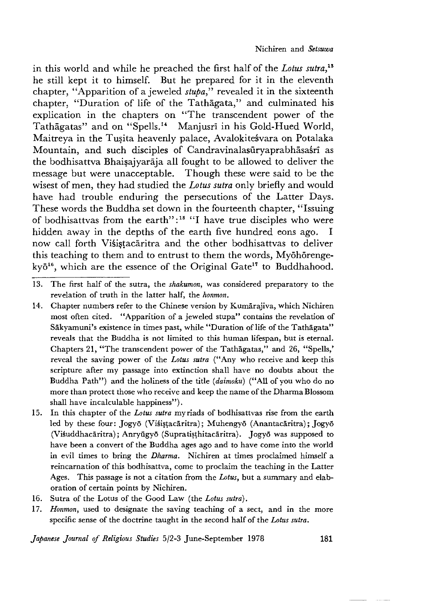in this world and while he preached the first half of the *Lotus sutra*.<sup>13</sup> he still kept it to himself. But he prepared for it in the eleventh chapter, "Apparition of a jeweled *stupa,"* revealed it in the sixteenth chapter, "Duration of life of the Tathagata," and culminated his explication in the chapters on "The transcendent power of the Tathagatas" and on "Spells.<sup>14</sup> Manjusri in his Gold-Hued World, Maitreya in the Tusita heavenly palace, Avalokitesvara on Potalaka Mountain, and such disciples of Candravinalasuryaprabhasastri as the bodhisattva Bhaisajyaraja all fought to be allowed to deliver the message but were unacceptable. Though these were said to be the wisest of men, they had studied the *Lotus sutra* only briefly and would have had trouble enduring the persecutions of the Latter Days. These words the Buddha set down in the fourteenth chapter, "Issuing of bodhisattvas from the earth":<sup>15</sup> "I have true disciples who were hidden away in the depths of the earth five hundred eons ago. I now call forth Visistacaritra and the other bodhisattvas to deliver this teaching to them and to entrust to them the words, Myōhōrenge $kv\bar{\sigma}^{16}$ , which are the essence of the Original Gate<sup>17</sup> to Buddhahood.

- 13. The first half of the sutra, the *shakumon,* was considered preparatory to the revelation of truth in the latter half, the *honmon.*
- 14. Chapter numbers refer to the Chinese version by Kumarajiva, which Nichiren most often cited. "Apparition of a jeweled stupa" contains the revelation of Sākyamuni's existence in times past, while "Duration of life of the Tathagata" reveals that the Buddha is not limited to this human lifespan, but is eternal. Chapters 21, "The transcendent power of the Tathagatas," and 26, "Spells," reveal the saving power of the *Lotus sutra* ("Any who receive and keep this scripture after my passage into extinction shall have no doubts about the Buddha Path") and the holiness of the title *(daimoku)* ("All of you who do no more than protect those who receive and keep the name of the Dharma Blossom shall have incalculable happiness").
- 15. In this chapter of the *Lotus sutra* myriads of bodhisattvas rise from the earth led by these four: Jogyō (Visistacāritra); Muhengyō (Anantacāritra); Jogyō (Visuddhacāritra); Anryūgyō (Supratisthitacāritra). Jogyō was supposed to have been a convert of the Buddha ages ago and to have come into the world in evil times to bring the *Dharma.* Nichiren at times proclaimed himself a reincarnation of this bodhisattva, come to proclaim the teaching in the Latter Ages. This passage is not a citation from the *Lotus*, but a summary and elaboration of certain points by Nichiren.
- 16. Sutra of the Lotus of the Good Law (the *Lotus sutra) •*
- 17. *Honmon,* used to designate the saving teaching of a sect, and in the more specific sense of the doctrine taught in the second half of the *Lotus sutra.*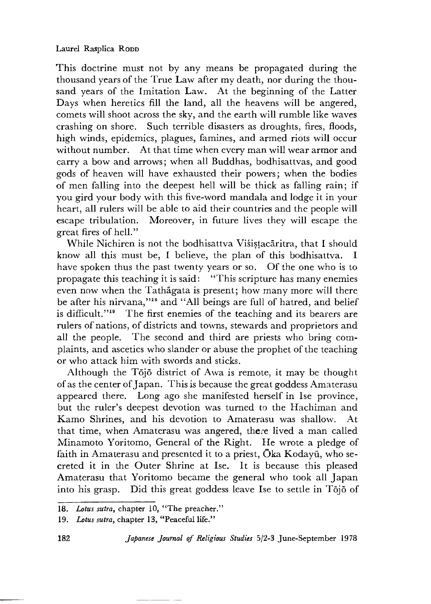This doctrine must not by any means be propagated during the thousand years of the True Law after my death, nor during the thousand years of the Imitation Law. At the beginning of the Latter Days when heretics fill the land, all the heavens will be angered, comets will shoot across the sky, and the earth will rumble like waves crashing on shore. Such terrible disasters as droughts, fires, floods, high winds, epidemics, plagues, famines, and armed riots will occur without number. At that time when every man will wear armor and carry a bow and arrows; when all Buddhas, bodhisattvas, and good gods of heaven will have exhausted their powers; when the bodies of men falling into the deepest hell will be thick as falling rain; if you gird your body with this five-word mandala and lodge it in your heart, all rulers will be able to aid their countries and the people will escape tribulation. Moreover, in future lives they will escape the great fires of hell."

While Nichiren is not the bodhisattva Visistacaritra, that I should know all this must be, I believe, the plan of this bodhisattva. I have spoken thus the past twenty years or so. Of the one who is to propagate this teaching it is said: "This scripture has many enemies even now when the Tathagata is present; how many more will there be after his nirvana,"18 and "All beings are full of hatred, and belief is difficult."<sup>19</sup> The first enemies of the teaching and its bearers are rulers of nations, of districts and towns, stewards and proprietors and all the people. The second and third are priests who bring complaints, and ascetics who slander or abuse the prophet of the teaching or who attack him with swords and sticks.

Although the Tojo district of Awa is remote, it may be thought of as the center of Japan. This is because the great goddess Amaterasu appeared there. Long ago she manifested herself in Ise province, but the ruler's deepest devotion was turned to the Hachiman and Kamo Shrines, and his devotion to Amaterasu was shallow. At that time, when Amaterasu was angered, there lived a man called Minamoto Yoritomo, General of the Right. He wrote a pledge of faith in Amaterasu and presented it to a priest, Oka Kodayū, who secreted it in the Outer Shrine at Ise. It is because this pleased Amaterasu that Yoritomo became the general who took all Japan into his grasp. Did this great goddess leave Ise to settle in Tojo of

<sup>18.</sup> *Lotus sutra*, chapter 10, "The preacher."

<sup>19.</sup> *Lotus sutra,* chapter 13,"Peaceful life."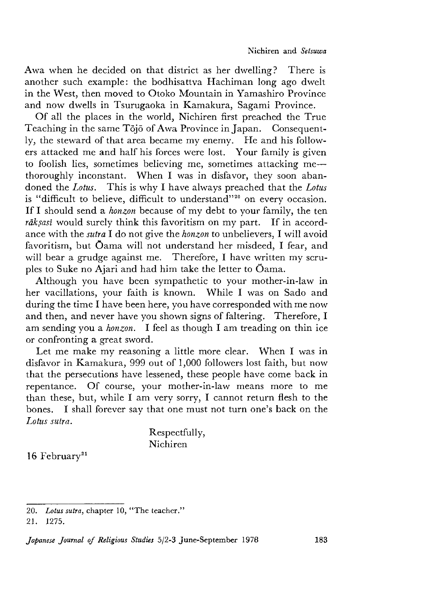Awa when he decided on that district as her dwelling? There is another such example: the bodhisattva Hachiman long ago dwelt in the West, then moved to Otoko Mountain in Yamashiro Province and now dwells in Tsurugaoka in Kamakura, Sagami Province.

Of all the places in the world, Nichiren first preached the True Teaching in the same Tojo of Awa Province in Japan. Consequently, the steward of that area became my enemy. He and his followers attacked me and half his forces were lost. Your family is given to foolish lies, sometimes believing me, sometimes attacking me $$ thoroughly inconstant. When I was in disfavor, they soon abandoned the *Lotus*. This is why I have always preached that the *Lotus* is "difficult to believe, difficult to understand''20 on every occasion. If I should send a *honzon* because of my debt to your family, the ten rāksasi would surely think this favoritism on my part. If in accordance with the *sutra* I do not give the *honzon* to unbelievers,I will avoid favoritism, but Oama will not understand her misdeed, I fear, and will bear a grudge against me. Therefore, I have written my scruples to Suke no Ajari and had him take the letter to Oama.

Although you have been sympathetic to your mother-in-law in her vacillations, your faith is known. While I was on Sado and during the time I have been here, you have corresponded with me now and then, and never have you shown signs of faltering. Therefore, I am sending you a *honzon.* I feel as though I am treading on thin ice or confronting a great sword.

Let me make my reasoning a little more clear. When I was in disfavor in Kamakura,999 out of 1,000 followers lost faith, but now that the persecutions have lessened, these people have come back in repentance. Of course, your mother-in-law means more to me than these, but, while I am very sorry, I cannot return flesh to the bones. I shall forever say that one must not turn one's back on the *Lotus sutra.*

> Respectfully, Nichiren

 $16$  February<sup>21</sup>

<sup>20.</sup> *Lotus sutra,* chapter 10, "The teacher."

<sup>21.1275.</sup>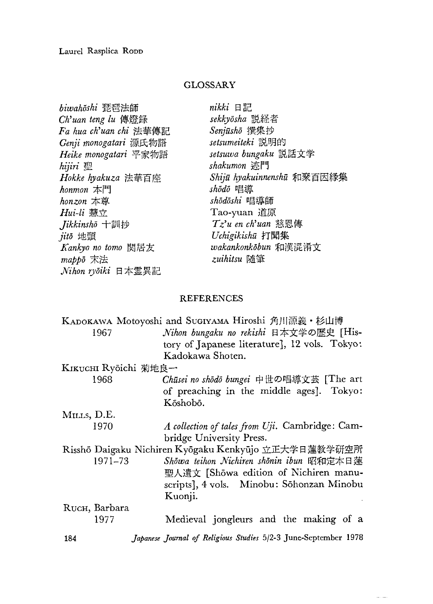## GLOSSARY

| biwahōshi 琵琶法師         | nikki 日記                   |
|------------------------|----------------------------|
| Ch'uan teng lu 傳燈録     | sekkyōsha 説経者              |
| Fa hua ch'uan chi 法華傳記 | Senjūshō 撰集抄               |
| Genji monogatari 源氏物語  | setsumeiteki 説明的           |
| Heike monogatari 平家物語  | setsuwa bungaku 説話文学       |
| hijiri 聖               | shakumon 迹門                |
| Hokke hyakuza 法華百座     | Shijū hyakuinnenshū 和聚百因縁集 |
| honmon $\pm$ [1]       | shōdō 唱導                   |
| honzon 本尊              | shōdōshi 唱導師               |
| <i>Hui-li</i> 慧立       | Tao-yuan 道原                |
| Jikkinshō 十訓抄          | Tz'u en ch'uan 慈恩傳         |
| jitō 地頭                | Uchigikishū 打聞集            |
| Kankyo no tomo 関居友     | wakankonkōbun 和漢混淆文        |
| mappo 末法               | zuihitsu 随筆                |
| Nihon ryōiki 日本霊異記     |                            |

## REFERENCES

|                                                      | KADOKAWA Motoyoshi and SUGIYAMA Hiroshi 角川源義・杉山博                |
|------------------------------------------------------|-----------------------------------------------------------------|
| 1967                                                 | Nihon bungaku no rekishi 日本文学の歴史 [His-                          |
|                                                      | tory of Japanese literature], 12 vols. Tokyo:                   |
|                                                      | Kadokawa Shoten.                                                |
| KIKUCHI Ryōichi 菊地良一                                 |                                                                 |
| 1968                                                 | Chūsei no shōdō bungei 中世の唱導文芸 [The art                         |
|                                                      | of preaching in the middle ages]. Tokyo:                        |
|                                                      | Kőshobö.                                                        |
| MILLS, D.E.                                          |                                                                 |
| 1970                                                 | A collection of tales from Uji. Cambridge: Cam-                 |
|                                                      | bridge University Press.                                        |
| Risshō Daigaku Nichiren Kyōgaku Kenkyūjo 立正大学日蓮教学研空所 |                                                                 |
| 1971–73                                              | Showa teihon Nichiren shonin ibun 昭和定本日蓮                        |
|                                                      | 聖人遺文 [Shōwa edition of Nichiren manu-                           |
|                                                      | scripts], 4 vols. Minobu: Sōhonzan Minobu                       |
|                                                      | Kuonji.                                                         |
| RUCH, Barbara                                        |                                                                 |
| 1977                                                 | Medieval jongleurs and the making of a                          |
| 184                                                  | Japanese Journal of Religious Studies 5/2-3 June-September 1978 |

 $\sim 10$